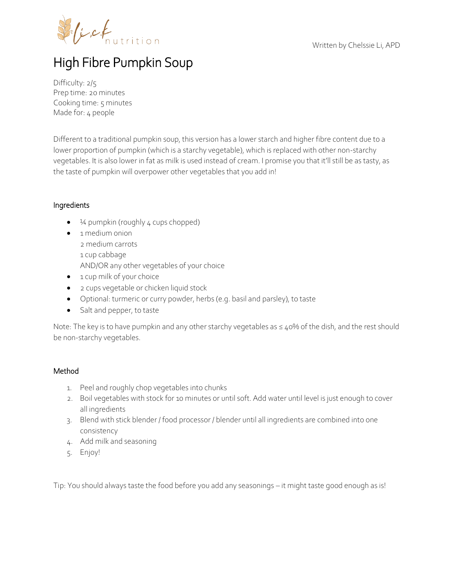



## High Fibre Pumpkin Soup

Difficulty: 2/5 Prep time: 20 minutes Cooking time: 5 minutes Made for: 4 people

Different to a traditional pumpkin soup, this version has a lower starch and higher fibre content due to a lower proportion of pumpkin (which is a starchy vegetable), which is replaced with other non-starchy vegetables. It is also lower in fat as milk is used instead of cream. I promise you that it'll still be as tasty, as the taste of pumpkin will overpower other vegetables that you add in!

## Ingredients

- $\bullet$   $\frac{1}{4}$  pumpkin (roughly 4 cups chopped)
- $\bullet$  1 medium onion 2 medium carrots 1 cup cabbage AND/OR any other vegetables of your choice
- 1 cup milk of your choice
- 2 cups vegetable or chicken liquid stock
- Optional: turmeric or curry powder, herbs (e.g. basil and parsley), to taste
- Salt and pepper, to taste

Note: The key is to have pumpkin and any other starchy vegetables as ≤ 40% of the dish, and the rest should be non-starchy vegetables.

## Method

- 1. Peel and roughly chop vegetables into chunks
- 2. Boil vegetables with stock for 10 minutes or until soft. Add water until level is just enough to cover all ingredients
- 3. Blend with stick blender / food processor / blender until all ingredients are combined into one consistency
- 4. Add milk and seasoning
- 5. Enjoy!

Tip: You should always taste the food before you add any seasonings – it might taste good enough as is!